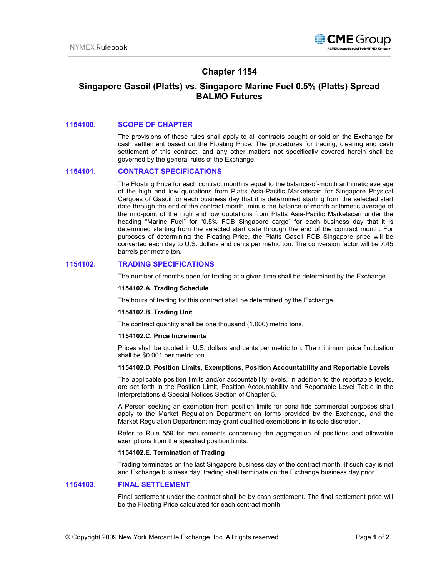

# **Chapter 1154**

# **Singapore Gasoil (Platts) vs. Singapore Marine Fuel 0.5% (Platts) Spread BALMO Futures**

### **1154100. SCOPE OF CHAPTER**

The provisions of these rules shall apply to all contracts bought or sold on the Exchange for cash settlement based on the Floating Price. The procedures for trading, clearing and cash settlement of this contract, and any other matters not specifically covered herein shall be governed by the general rules of the Exchange.

### **1154101. CONTRACT SPECIFICATIONS**

The Floating Price for each contract month is equal to the balance-of-month arithmetic average of the high and low quotations from Platts Asia-Pacific Marketscan for Singapore Physical Cargoes of Gasoil for each business day that it is determined starting from the selected start date through the end of the contract month, minus the balance-of-month arithmetic average of the mid-point of the high and low quotations from Platts Asia-Pacific Marketscan under the heading "Marine Fuel" for "0.5% FOB Singapore cargo" for each business day that it is determined starting from the selected start date through the end of the contract month. For purposes of determining the Floating Price, the Platts Gasoil FOB Singapore price will be converted each day to U.S. dollars and cents per metric ton. The conversion factor will be 7.45 barrels per metric ton.

## **1154102. TRADING SPECIFICATIONS**

The number of months open for trading at a given time shall be determined by the Exchange.

### **1154102.A. Trading Schedule**

The hours of trading for this contract shall be determined by the Exchange.

#### **1154102.B. Trading Unit**

The contract quantity shall be one thousand (1,000) metric tons.

### **1154102.C. Price Increments**

Prices shall be quoted in U.S. dollars and cents per metric ton. The minimum price fluctuation shall be \$0.001 per metric ton.

#### **1154102.D. Position Limits, Exemptions, Position Accountability and Reportable Levels**

The applicable position limits and/or accountability levels, in addition to the reportable levels, are set forth in the Position Limit, Position Accountability and Reportable Level Table in the Interpretations & Special Notices Section of Chapter 5.

A Person seeking an exemption from position limits for bona fide commercial purposes shall apply to the Market Regulation Department on forms provided by the Exchange, and the Market Regulation Department may grant qualified exemptions in its sole discretion.

Refer to Rule 559 for requirements concerning the aggregation of positions and allowable exemptions from the specified position limits.

## **1154102.E. Termination of Trading**

Trading terminates on the last Singapore business day of the contract month. If such day is not and Exchange business day, trading shall terminate on the Exchange business day prior.

### **1154103. FINAL SETTLEMENT**

Final settlement under the contract shall be by cash settlement. The final settlement price will be the Floating Price calculated for each contract month.